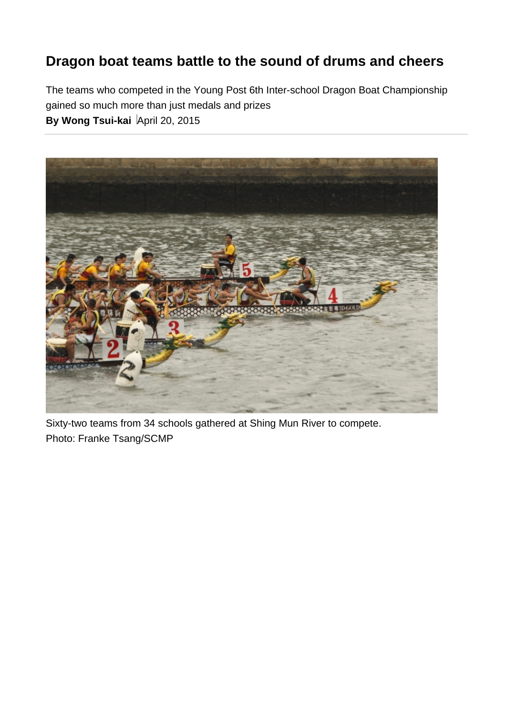## **Dragon boat teams battle to the sound of drums and cheers**

The teams who competed in the Young Post 6th Inter-school Dragon Boat Championship gained so much more than just medals and prizes **By Wong Tsui-kai** April 20, 2015



Sixty-two teams from 34 schools gathered at Shing Mun River to compete. Photo: Franke Tsang/SCMP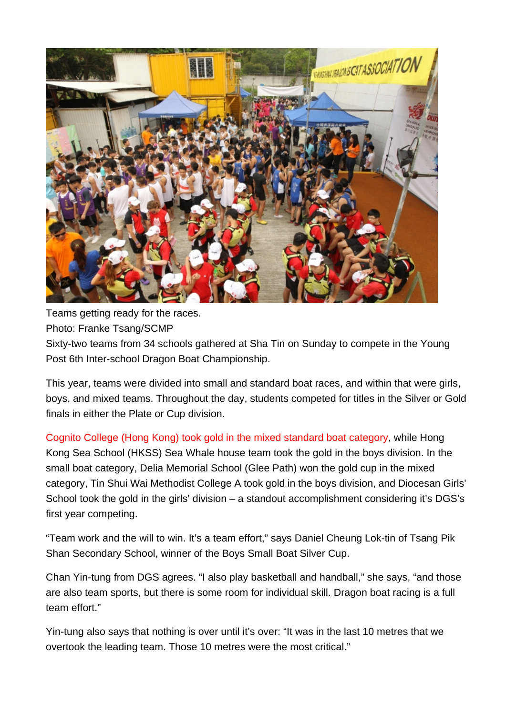

Teams getting ready for the races. Photo: Franke Tsang/SCMP Sixty-two teams from 34 schools gathered at Sha Tin on Sunday to compete in the Young Post 6th Inter-school Dragon Boat Championship.

This year, teams were divided into small and standard boat races, and within that were girls, boys, and mixed teams. Throughout the day, students competed for titles in the Silver or Gold finals in either the Plate or Cup division.

Cognito College (Hong Kong) took gold in the mixed standard boat category, while Hong Kong Sea School (HKSS) Sea Whale house team took the gold in the boys division. In the small boat category, Delia Memorial School (Glee Path) won the gold cup in the mixed category, Tin Shui Wai Methodist College A took gold in the boys division, and Diocesan Girls' School took the gold in the girls' division – a standout accomplishment considering it's DGS's first year competing.

"Team work and the will to win. It's a team effort," says Daniel Cheung Lok-tin of Tsang Pik Shan Secondary School, winner of the Boys Small Boat Silver Cup.

Chan Yin-tung from DGS agrees. "I also play basketball and handball," she says, "and those are also team sports, but there is some room for individual skill. Dragon boat racing is a full team effort."

Yin-tung also says that nothing is over until it's over: "It was in the last 10 metres that we overtook the leading team. Those 10 metres were the most critical."